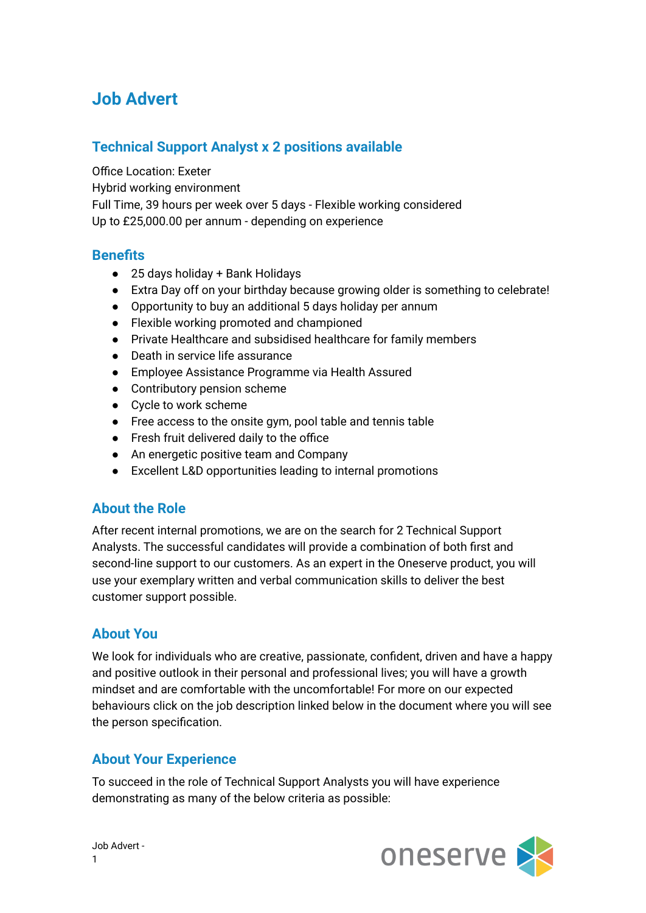# **Job Advert**

## **Technical Support Analyst x 2 positions available**

Office Location: Exeter

Hybrid working environment

Full Time, 39 hours per week over 5 days - Flexible working considered Up to £25,000.00 per annum - depending on experience

### **Benefits**

- 25 days holiday + Bank Holidays
- Extra Day off on your birthday because growing older is something to celebrate!
- Opportunity to buy an additional 5 days holiday per annum
- Flexible working promoted and championed
- Private Healthcare and subsidised healthcare for family members
- Death in service life assurance
- Employee Assistance Programme via Health Assured
- Contributory pension scheme
- Cycle to work scheme
- Free access to the onsite gym, pool table and tennis table
- Fresh fruit delivered daily to the office
- An energetic positive team and Company
- Excellent L&D opportunities leading to internal promotions

### **About the Role**

After recent internal promotions, we are on the search for 2 Technical Support Analysts. The successful candidates will provide a combination of both first and second-line support to our customers. As an expert in the Oneserve product, you will use your exemplary written and verbal communication skills to deliver the best customer support possible.

### **About You**

We look for individuals who are creative, passionate, confident, driven and have a happy and positive outlook in their personal and professional lives; you will have a growth mindset and are comfortable with the uncomfortable! For more on our expected behaviours click on the job description linked below in the document where you will see the person specification.

### **About Your Experience**

To succeed in the role of Technical Support Analysts you will have experience demonstrating as many of the below criteria as possible:



Job Advert - 1